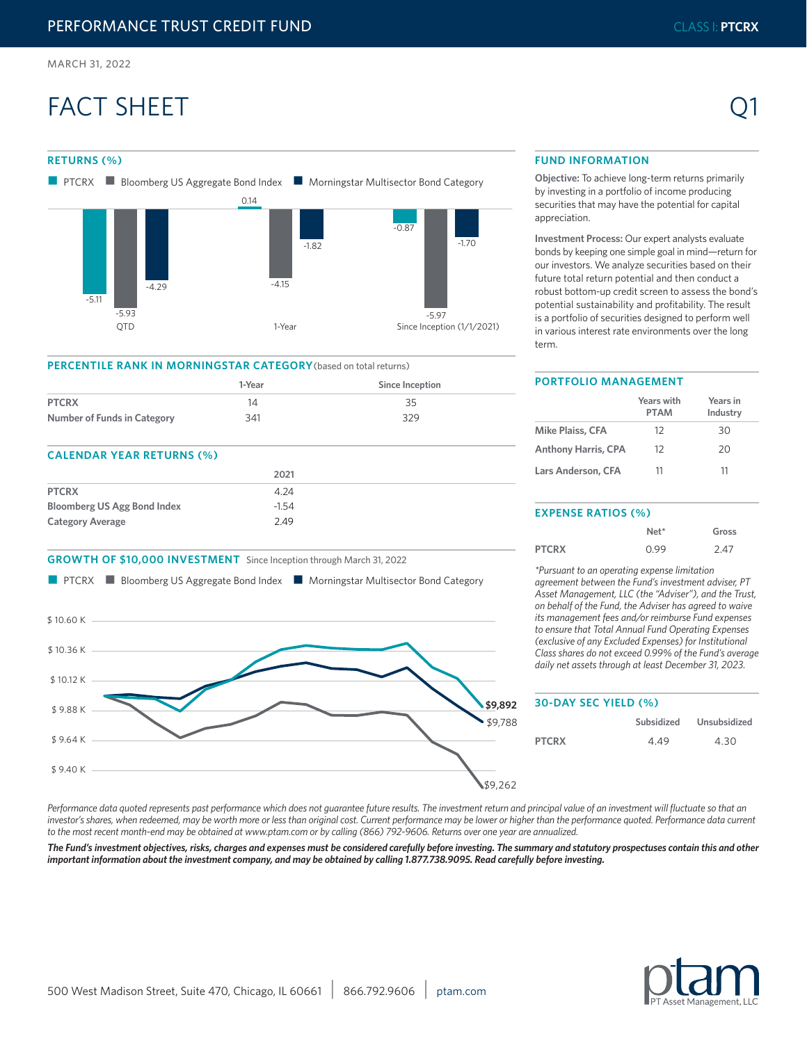**RETURNS (%)** 

-5.11

-5.93

 $-4.29$ 

# FACT SHEET



 $-1.70$ 

 $-0.87$ 

-5.97

**Objective:** To achieve long-term returns primarily by investing in a portfolio of income producing securities that may have the potential for capital appreciation.

**Investment Process:** Our expert analysts evaluate bonds by keeping one simple goal in mind—return for our investors. We analyze securities based on their future total return potential and then conduct a robust bottom-up credit screen to assess the bond's potential sustainability and profitability. The result is a portfolio of securities designed to perform well in various interest rate environments over the long term.

# **PERCENTILE RANK IN MORNINGSTAR CATEGORY**(based on total returns)

0.14

n PTCRX **n** Bloomberg US Aggregate Bond Index **n** Morningstar Multisector Bond Category

|                             | 1-Year | Since Inception |
|-----------------------------|--------|-----------------|
| <b>PTCRX</b>                |        | 35              |
| Number of Funds in Category | 341    | 329             |

-4.15

QTD 1-Year 1-Year Since Inception (1/1/2021)

-1.82

# **CALENDAR YEAR RETURNS (%)**

|                                    | 2021    |
|------------------------------------|---------|
| <b>PTCRX</b>                       | 4.24    |
| <b>Bloomberg US Agg Bond Index</b> | $-1.54$ |
| <b>Category Average</b>            | 2.49    |

# **GROWTH OF \$10,000 INVESTMENT** Since Inception through March 31, 2022



#### **PORTFOLIO MANAGEMENT**

|                            | Years with<br><b>PTAM</b> | Years in<br>Industry |
|----------------------------|---------------------------|----------------------|
| Mike Plaiss, CFA           | 12                        | 30                   |
| <b>Anthony Harris, CPA</b> | 12                        | 20                   |
| Lars Anderson, CFA         | 11                        | 11                   |

# **EXPENSE RATIOS (%)**

|              | $Net*$ | Gross |
|--------------|--------|-------|
| <b>PTCRX</b> | 0.99   | 2.47  |

*\*Pursuant to an operating expense limitation agreement between the Fund's investment adviser, PT Asset Management, LLC (the "Adviser"), and the Trust, on behalf of the Fund, the Adviser has agreed to waive its management fees and/or reimburse Fund expenses to ensure that Total Annual Fund Operating Expenses (exclusive of any Excluded Expenses) for Institutional Class shares do not exceed 0.99% of the Fund's average daily net assets through at least December 31, 2023.*

# **30-DAY SEC YIELD (%) Subsidized Unsubsidized PTCRX** 4.49 4.30

Performance data quoted represents past performance which does not guarantee future results. The investment return and principal value of an investment will fluctuate so that an investor's shares, when redeemed, may be worth more or less than original cost. Current performance may be lower or higher than the performance quoted. Performance data current *to the most recent month-end may be obtained at www.ptam.com or by calling (866) 792-9606. Returns over one year are annualized.* 

*The Fund's investment objectives, risks, charges and expenses must be considered carefully before investing. The summary and statutory prospectuses contain this and other important information about the investment company, and may be obtained by calling 1.877.738.9095. Read carefully before investing.*



Q1